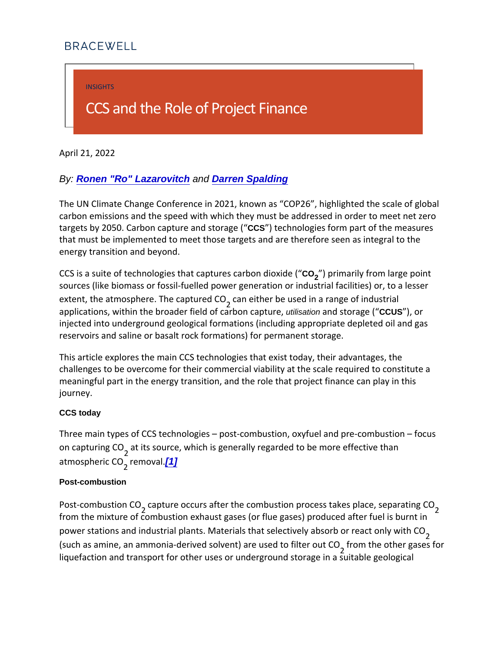<span id="page-0-0"></span>INSIGHTS

# CCS and the Role of Project Fi

April 21, 2022

By: [Ronen "Ro" Lazarovitch](https://bracewell.com/people/ronen-ro-lazarovitch) and [Darren Spalding](https://bracewell.com/people/darren-spalding)

The UN Climate Change Conference in 2021, known as COP26 carbon emissions and the speed with which they must be addre targets by 2050. Carbon caposturete eachd storage form part of the mear that must be implemented to meet those targets and are theref energy transition and beyond.

 $CCS$  is a suite of technologies that  $Cog$  a) polymers and by brotom dioxide  $p(o$  i sources (like biomass or fossil-fuelled power generation or ind extent, the atmosphere.  $\overline{c}$  and eatopteur be under in a range of industrial extent. applications, within the broader unliseation and cantion caused ploure, injected into underground geological formations (including app reservoirs and saline or basalt rock formations) for permanent

This article explores the main CCS technologies that exist toda challenges to be overcome for their commercial viability at the meaningful part in the energy transition, and the role that proj journey.

CCS today

Three main types of CCS technologies post-combustion, oxyfu on capturiag ics source, which is generally regarded to be more atmosphegie mCcOMal.

#### Post-combustion

Post-combustiamptuce occurs after the combustion process takes from the mixture of combustion exhaust gases (or flue gases) produced after the combustion exhaust gases (or flue gases) produced after  $\alpha$ power stations and industrial plants. Materials that selectively (such as amine, an ammonia-derived soly ferom) alre on shead to a file be for  $\mathbf s$ liquefaction and transport for other uses or underground storag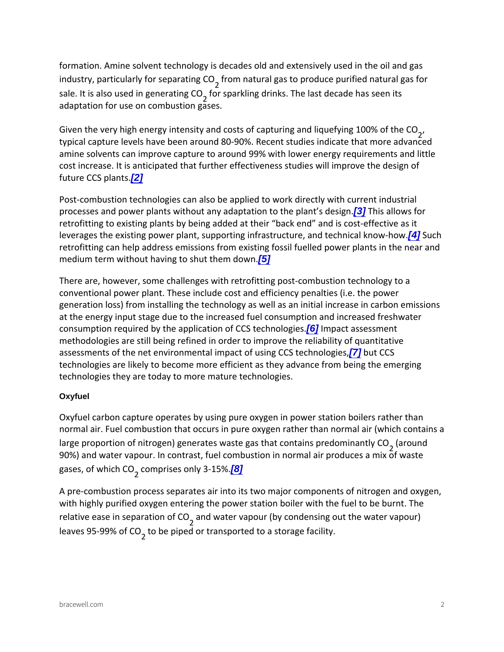<span id="page-1-0"></span>formation. Amine solvent technology is decades old and extens industry, particularly for osme pnaartautrianing gCa  $\Theta$  to produce purified nat sale. It is also used  $\sin$  geperating CrOnks. The last decade has adaptation for use on combustion gases.

Given the very high energy intensity and costs of capturing and typical capture levels have been around 80-90%. Recent studie amine solvents can improve capture to around 99% with lower  $\epsilon$ cost increase. It is anticipated that further effectiveness studi future  $CC\$ iplants.

Post-combustion technologies can also be applied to work dire processes and power plants without any a[63]apTthaitsioanlibowshieo.plant retrofitting to existing plants by being added at their back end leverages the existing power plant, supporting inf<sup>4</sup> a Sturature, and technical know-how-how-how-how-how-how-howretrofitting can help address emissions from existing fossil fue medium term without having  $5$  p shut them down.

There are, however, some challenges with retrofitting post-com conventional power plant. These include cost and efficiency pe generation loss) from installing the technology as well as an in at the energy input stage due to the increased fuel consumptio consumption required by the applic $[\hat{\mathbf{a}}]$  $[\hat{\mathbf{a}}]$  $[\hat{\mathbf{a}}]$ tibm poafc  $\mathbb C$  6.  $\mathbb S$ s tessmmeonib gies. methodologies are still being refined in order to improve the re assessments of the net environmental im[pa](#page-6-0)ctudif CLCs Sing CCS tech technologies are likely to become more efficient as they advan technologies they are today to more mature technologies.

# **Oxyfuel**

Oxyfuel carbon capture operates by using pure oxygen in powe normal air. Fuel combustion that occurs in pure oxygen rather large proportion of nitrogen) generates waste gaarbhuantdcontains 90%) and water vapour. In contrast, fuel combustion in normal gases, of  $w$ , to  $cosh p$  C iG es on  $8$   $/$  3-15%.

A pre-combustion process separates air into its two major components of  $\mathsf{A}$ with highly purified oxygen entering the power station boiler w relative ease in sepaand twoantecrfvCapour (by condensing out the wa leaves  $95-99%$  be  $\overline{Q}$  O  $p$  ed or transported to a storage facility.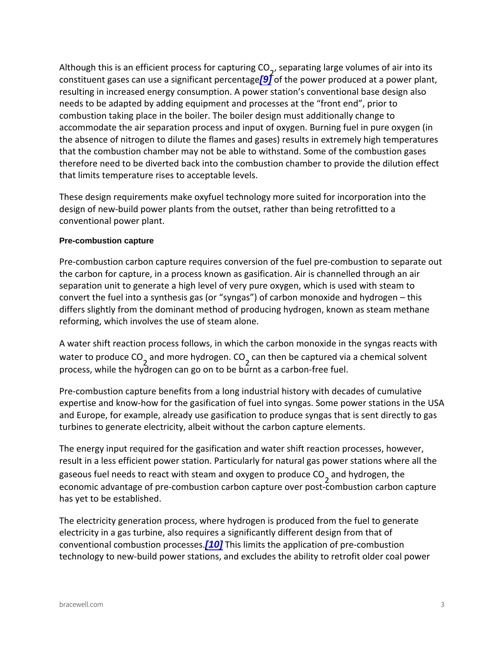<span id="page-2-0"></span>Although this is an efficient process fractring a plaugion of  $\alpha$  0  $\alpha$  cones of air constituent gases can use a  $[$ §] f $\hat{g}$  of ithe power percentageed at a powe resulting in increased energy consumption. A power station s  $c$ needs to be adapted by adding equipment and processes at the combustion taking place in the boiler. The boiler design must a accommodate the air separation process and input of oxygen. E the absence of nitrogen to dilute the flames and gases) results that the combustion chamber may not be able to withstand. Sor therefore need to be diverted back into the combustion chambe that limits temperature rises to acceptable levels.

These design requirements make oxyfuel technology more suite design of new-build power plants from the outset, rather than b conventional power plant.

## Pre-combustion capture

Pre-combustion carbon capture requires conversion of the fuel the carbon for capture, in a process known as gasification. Air separation unit to generate a high level of very pure oxygen, w convert the fuel into a synthesis gas (or syngas) of carbon m differs slightly from the dominant method of producing hydroge reforming, which involves the use of steam alone.

A water shift reaction process follows, in which the carbon mon water to prodance not offer hydrogenenthes to be captured via a chemical process, while the hydrogen can go on to be burnt as a carbon-

Pre-combustion capture benefits from a long industrial history expertise and know-how for the gasification of fuel into syngas and Europe, for example, already use gasification to produce s turbines to generate electricity, albeit without the carbon capt

The energy input required for the gasification and water shift reaction result in a less efficient power station. Particularly for natural gaseous fuel needs to react with steam,anadochyoologgenem,to thperoduce economic advantage of pre-combustion carbon capture over pos has yet to be established.

The electricity generation process, where hydrogen is produced electricity in a gas turbine, also requires a significantly differ conven[tio](#page-6-0)nal combushion principles in application of pre-comb technology to new-build power stations, and excludes the ability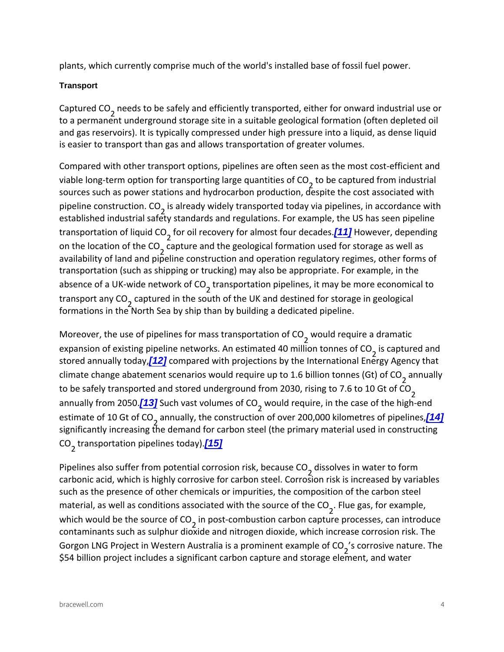<span id="page-3-0"></span>plants, which currently comprise much of the world's installed

### **Transport**

Capture, cheeds to be safely and efficiently transported, either f to a permanent underground storage site in a suitable geologic and gas reservoirs). It is typically compressed under high pres is easier to transport than gas and allows transportation of gre

Compared with other transport options, pipelines are often see viable long-term option for transportion go eac grotounantitions ionfd  $C\Omega$ sources such as power stations and hydrocarbon production, de pipeline construistadne a CIO widely transported today via pipeline established industrial safety standards and regulations. For ex transportation  $q$ ffoliqouild recovery for alm[101]stHfoowwe vobearc, addeepsending on the location  $\overline{\text{coeff}}$  the eCaOnd the geological formation used for s availability of land and pipeline construction and operation reg transportation (such as shipping or trucking) may also be appre absence of a UK-wide the husportation pipelines, it may be more transport any of Ored in the south of the UK and destined for sto formations in the North Sea by ship than by building a dedicate

Moreover, the use of pipelines for  $m$  as althare sport a did nation  $\mathbb{C}$  ion expansion of existing pipeline networks. An esisstionaeptteud e4d0 annidlion stored annua *[12]* compayared with projections by the International climate change abatement scenarios would require numpu adly 6 bi to be safely transported and stored underground ffom 2030, ris annually fro<u>ina]</u> 2SOu5cOh.vast voly,wnoeuslootfro⊖Ouire, in the case of the estimate of 1QaGenwall $O$ , the construction of over 20 $(14)$ 00 kilom significantly increasing the demand for carbon steel (the prima C Qtransportation pip $[45]$ nes today).

Pipelines also suffer from potential<sub>2</sub>dosrosvien rinskw,abeercaousfer to C carbonic acid, which is highly corrosive for carbon steel. Corro such as the presence of other chemicals or impurities, the com  $m$  aterial, as well as conditions associ $a_i$ te Folluweit $\bm{y}$  atshefos no uerxcaem op flet, i which would be the  $_2$  is to procest-oc follow position carbon capture process. contaminants such as sulphur dioxide and nitrogen dioxide, wh Gorgon LNG Project in Western Australia, iss cao prroosmivine emateuxe ampo  $\$54$  billion project includes a significant carbon capture and st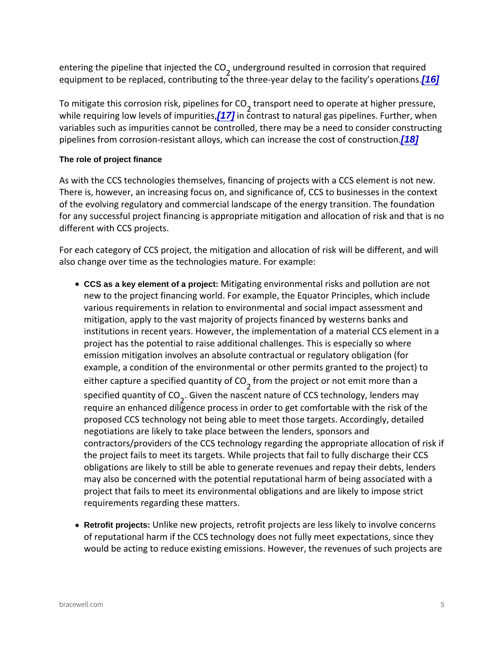<span id="page-4-0"></span>entering the pipeline thaundergrounder CSQ Ited in corrosion that equipment to be replaced, contributing to the three  $\frac{16}{6}$  ar delay

To mitigate this corrosion  $f$  ts an spipellines of do Operate at higher while requiring low lev $\Phi$ siof compurities, natural gas pipelines. variables such as impurities cannot be controlled, there may b pipelines from corrosion-resistant alloys, which dan increase t

The role of project finance

As with the CCS technologies themselves, financing of projects There is, however, an increasing focus on, and significance of of the evolving regulatory and commercial landscape of the ene for any successful project financing is appropriate mitigation a different with CCS projects.

For each category of CCS project, the mitigation and allocation also change over time as the technologies mature. For example:

- $\bullet$  CCS as a key element of a project: Mitigating environmental risks and pollu new to the project financing world. For example, the Equato various requirements in relation to environmental and socia mitigation, apply to the vast majority of projects financed b institutions in recent years. However, the implementation o project has the potential to raise additional challenges. Th emission mitigation involves an absolute contractual or reg example, a condition of the environmental or other permits either capture a specified do qualmeitpy of ie CtO or not emit more th  $s$  pecified quanti Gyivoe fin Ct  $\bar{\mathbf{\Theta}}$  e nascent nature of CCS technology require an enhanced diligence process in order to get comf proposed CCS technology not being able to meet those targ negotiations are likely to take place between the lenders, s contractors/providers of the CCS technology regarding the the project fails to meet its targets. While projects that fai obligations are likely to still be able to generate revenues may also be concerned with the potential reputational harm project that fails to meet its environmental obligations and requirements regarding these matters.
- Retrofit projects: Unlike new projects, retrofit projects are less lik of reputational harm if the CCS technology does not fully m would be acting to reduce existing emissions. However, the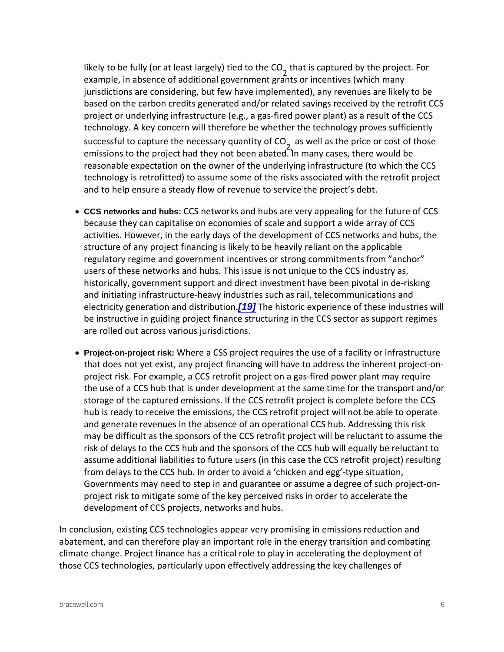<span id="page-5-0"></span>likely to be fully (or at least, that is an entity different to the ChO e projec example, in absence of additional government grants or inc jurisdictions are considering, but few have implemented), a based on the carbon credits generated and/or related savin project or underlying infrastructure (e.g., a gas-fired power technology. A key concern will therefore be whether the ted successful to capture the neceas aw pulquanthtey porfice Oor cost of emissions to the project had they not been abated. In many reasonable expectation on the owner of the underlying infra technology is retrofitted) to assume some of the risks asso and to help ensure a steady flow of revenue to service the

- CCS networks and hubs: CCS networks and hubs are very appealing for because they can capitalise on economies of scale and sup activities. However, in the early days of the development of structure of any project financing is likely to be heavily rel regulatory regime and government incentives or strong com users of these networks and hubs. This issue is not unique historically, government support and direct investment have and initiating infrastructure-heavy industries such as rail, electricity generation [19] of bies hristoric industrience of these in be instructive in guiding project finance structuring in the are rolled out across various jurisdictions.
- Project-on-project risk: Where a CSS project requires the use of a fac that does not yet exist, any project financing will have to a project risk. For example, a CCS retrofit project on a gas-f the use of a CCS hub that is under development at the sam storage of the captured emissions. If the CCS retrofit proje hub is ready to receive the emissions, the CCS retrofit proj and generate revenues in the absence of an operational CC may be difficult as the sponsors of the CCS retrofit project risk of delays to the CCS hub and the sponsors of the CCS assume additional liabilities to future users (in this case the from delays to the CCS hub. In order to avoid a chicken ard egg -type situation, the situation of Governments may need to step in and guarantee or assume project risk to mitigate some of the key perceived risks in  $\mathfrak c$ development of CCS projects, networks and hubs.

In conclusion, existing CCS technologies appear very promisin abatement, and can therefore play an important role in the ene climate change. Project finance has a critical role to play in a those CCS technologies, particularly upon effectively addressi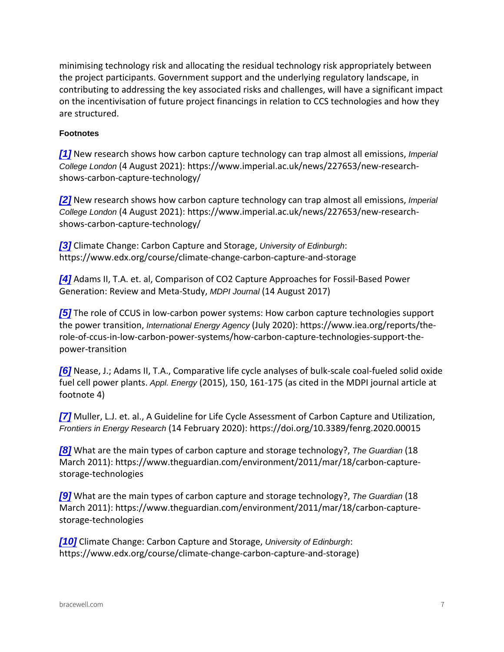<span id="page-6-0"></span>minimising technology risk and allocating the residual technold the project participants. Government support and the underlyin contributing to addressing the key associated risks and challer on the incentivisation of future project financings in relation  $t_0$ are structured.

#### Footnotes

 $[1]$  New research shows how carbon capture technomiped almost an trap College London (4 August 2021): https://www.imperial.ac.uk/news/227 shows-carbon-capture-technology/

 $[2]$  New research shows how carbon capture technomiped almost an trap College London (4 August 2021): https://www.imperial.ac.uk/news/227 shows-carbon-capture-technology/

[\[3\]](#page-1-0) Climate Change: Carbon  $\Omega$  and  $\alpha$  Edinburgh: Storage, https://www.edx.org/course/climate-change-carbon-capture-and

[\[4\]](#page-1-0) Adams II, T.A. et. al, Comparison of CO2 Capture Approache Generation: Review ampublumentha (St #u Alway, gust 2017)

 $[5]$  The role of CCUS in low-carbon power systems: How carbon the power transtation on Energy Agency (July 2020): https://www.iea.org/re role-of-ccus-in-low-carbon-power-systems/how-carbon-capturepower-transition

[\[6\]](#page-1-0) Nease, J.; Adams II, T.A., Comparative life cycle analyses o fuel cell pow $A$ ppl. Pheagy t(s2015), 150, 161-175 (as cited in the MDPI footnote 4)

[\[7\]](#page-1-0) Muller, L.J. et. al., A Guideline for Life Cycle Assessment o Frontiers in Energy Research (14 February 2020): https://doi.org/10.3389/fer

 $[8]$  What are the main types of carbon captTuerGuandiand (sit&orage techinology) March 2011): https://www.theguardian.com/environment/2011/m storage-technologies

 $[9]$  What are the main types of carbon captTue Guand and (site of technology) March 2011): https://www.theguardian.com/environment/2011/m storage-technologies

[\[10\]](#page-2-0) Climate Change: Carbon Quaipetsuity of Edinbudgh Storage, https://www.edx.org/course/climate-change-carbon-capture-and